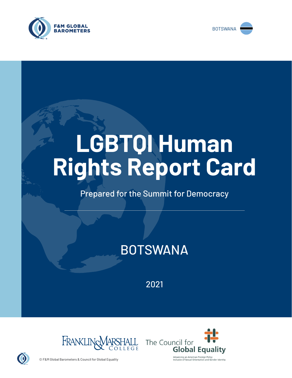



# **LGBTQI Human Rights Report Card**

# Prepared for the Summit for Democracy

# BOTSWANA

2021





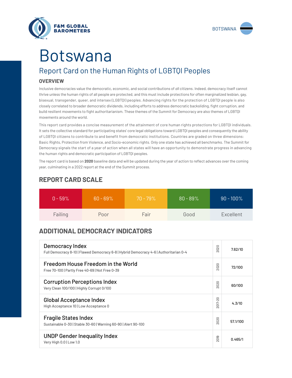



# Botswana

# Report Card on the Human Rights of LGBTQI Peoples

## **OVERVIEW**

Inclusive democracies value the democratic, economic, and social contributions of *all* citizens. Indeed, democracy itself cannot thrive unless the human rights of all people are protected, and this must include protections for often marginalized lesbian, gay, bisexual, transgender, queer, and intersex (LGBTQI) peoples. Advancing rights for the protection of LGBTQI people is also closely correlated to broader democratic dividends, including efforts to address democratic backsliding, fight corruption, and build resilient movements to fight authoritarianism. These themes of the Summit for Democracy are also themes of LGBTQI movements around the world.

This report card provides a concise measurement of the attainment of core human rights protections for LGBTQI individuals. It sets the collective standard for participating states' core legal obligations toward LGBTQI peoples and consequently the ability of LGBTQI citizens to contribute to and benefit from democratic institutions. Countries are graded on three dimensions: Basic Rights, Protection from Violence, and Socio-economic rights. Only one state has achieved all benchmarks. The Summit for Democracy signals the start of a year of action when all states will have an opportunity to demonstrate progress in advancing the human rights and democratic participation of LGBTQI peoples.

The report card is based on **2020** baseline data and will be updated during the year of action to reflect advances over the coming year, culminating in a 2022 report at the end of the Summit process.

| $0 - 59\%$ | $60 - 69\%$ | $70 - 79\%$ | $80 - 89\%$ | $90 - 100\%$ |
|------------|-------------|-------------|-------------|--------------|
| Failing    | Poor        | Fair        | Good        | Excellent    |

# **REPORT CARD SCALE**

# **ADDITIONAL DEMOCRACY INDICATORS**

| Democracy Index<br>Full Democracy 8-10   Flawed Democracy 6-8   Hybrid Democracy 4-6   Authoritarian 0-4 | 2020          | 7.62/10  |
|----------------------------------------------------------------------------------------------------------|---------------|----------|
| Freedom House Freedom in the World<br>Free 70-100   Partly Free 40-69   Not Free 0-39                    | 2020          | 72/100   |
| <b>Corruption Perceptions Index</b><br>Very Clean 100/100   Highly Corrupt 0/100                         | 020<br>$\sim$ | 60/100   |
| <b>Global Acceptance Index</b><br>High Acceptance 10   Low Acceptance 0                                  | 2017-20       | 4.3/10   |
| <b>Fragile States Index</b><br>Sustainable 0-30   Stable 30-60   Warning 60-90   Alert 90-100            | 2020          | 57.1/100 |
| <b>UNDP Gender Inequality Index</b><br>Very High 0.0   Low 1.0                                           | 2019          | 0.465/1  |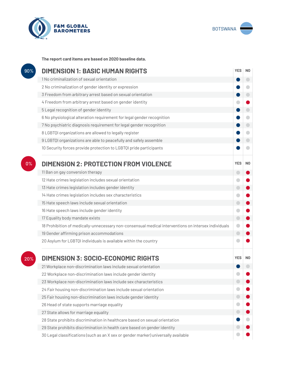



**The report card items are based on 2020 baseline data.**

| 90% | <b>DIMENSION 1: BASIC HUMAN RIGHTS</b>                                                               |            |                |
|-----|------------------------------------------------------------------------------------------------------|------------|----------------|
|     | 1 No criminalization of sexual orientation                                                           |            | $\Box$         |
|     | 2 No criminalization of gender identity or expression                                                |            | $\Box$         |
|     | 3 Freedom from arbitrary arrest based on sexual orientation                                          |            | $\bigcirc$     |
|     | 4 Freedom from arbitrary arrest based on gender identity                                             |            |                |
|     | 5 Legal recognition of gender identity                                                               |            | $\bigcirc$     |
|     | 6 No physiological alteration requirement for legal gender recognition                               |            | O              |
|     | 7 No psychiatric diagnosis requirement for legal gender recognition                                  |            | $\bigcirc$     |
|     | 8 LGBTQI organizations are allowed to legally register                                               |            | $\Box$         |
|     | 9 LGBTQI organizations are able to peacefully and safely assemble                                    |            | $\blacksquare$ |
|     | 10 Security forces provide protection to LGBTQI pride participants                                   |            | G              |
| 0%  | <b>DIMENSION 2: PROTECTION FROM VIOLENCE</b>                                                         | <b>YES</b> | N <sub>0</sub> |
|     | 11 Ban on gay conversion therapy                                                                     | $\Box$     |                |
|     | 12 Hate crimes legislation includes sexual orientation                                               |            |                |
|     | 13 Hate crimes legislation includes gender identity                                                  | $\Box$     |                |
|     | 14 Hate crimes legislation includes sex characteristics                                              |            |                |
|     | 15 Hate speech laws include sexual orientation                                                       | $\bigcirc$ |                |
|     | 16 Hate speech laws include gender identity                                                          |            |                |
|     | 17 Equality body mandate exists                                                                      | $\bigcirc$ |                |
|     | 18 Prohibition of medically-unnecessary non-consensual medical interventions on intersex individuals | $\bullet$  |                |
|     | 19 Gender affirming prison accommodations                                                            | $\bigcirc$ |                |
|     | 20 Asylum for LGBTQI individuals is available within the country                                     |            |                |
| 20% | <b>DIMENSION 3: SOCIO-ECONOMIC RIGHTS</b>                                                            | <b>YES</b> | N0             |
|     | 21 Workplace non-discrimination laws include sexual orientation                                      |            |                |
|     | 22 Workplace non-discrimination laws include gender identity                                         |            |                |
|     | 23 Workplace non-discrimination laws include sex characteristics                                     |            |                |
|     | 24 Fair housing non-discrimination laws include sexual orientation                                   |            |                |
|     | 25 Fair housing non-discrimination laws include gender identity                                      |            |                |
|     | 26 Head of state supports marriage equality                                                          |            |                |
|     | 27 State allows for marriage equality                                                                |            |                |
|     | 28 State prohibits discrimination in healthcare based on sexual orientation                          |            |                |
|     | 29 State prohibits discrimination in health care based on gender identity                            |            |                |
|     | 30 Legal classifications (such as an X sex or gender marker) universally available                   |            |                |